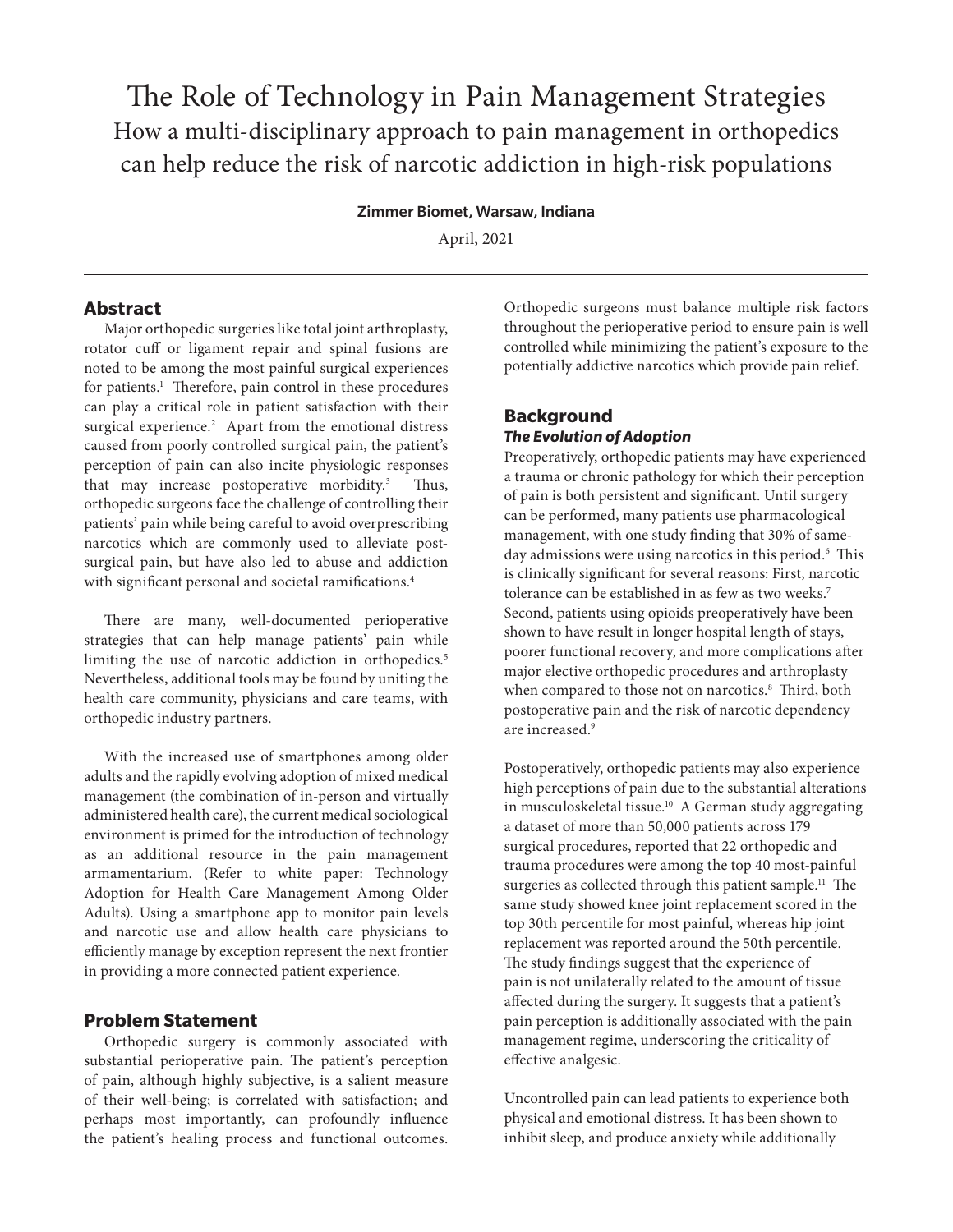# The Role of Technology in Pain Management Strategies How a multi-disciplinary approach to pain management in orthopedics can help reduce the risk of narcotic addiction in high-risk populations

#### Zimmer Biomet, Warsaw, Indiana

April, 2021

## **Abstract**

Major orthopedic surgeries like total joint arthroplasty, rotator cuff or ligament repair and spinal fusions are noted to be among the most painful surgical experiences for patients.<sup>1</sup> Therefore, pain control in these procedures can play a critical role in patient satisfaction with their surgical experience.<sup>2</sup> Apart from the emotional distress caused from poorly controlled surgical pain, the patient's perception of pain can also incite physiologic responses that may increase postoperative morbidity.<sup>3</sup> Thus, orthopedic surgeons face the challenge of controlling their patients' pain while being careful to avoid overprescribing narcotics which are commonly used to alleviate postsurgical pain, but have also led to abuse and addiction with significant personal and societal ramifications.<sup>4</sup>

There are many, well-documented perioperative strategies that can help manage patients' pain while limiting the use of narcotic addiction in orthopedics.<sup>5</sup> Nevertheless, additional tools may be found by uniting the health care community, physicians and care teams, with orthopedic industry partners.

With the increased use of smartphones among older adults and the rapidly evolving adoption of mixed medical management (the combination of in-person and virtually administered health care), the current medical sociological environment is primed for the introduction of technology as an additional resource in the pain management armamentarium. (Refer to white paper: Technology Adoption for Health Care Management Among Older Adults). Using a smartphone app to monitor pain levels and narcotic use and allow health care physicians to efficiently manage by exception represent the next frontier in providing a more connected patient experience.

## **Problem Statement**

Orthopedic surgery is commonly associated with substantial perioperative pain. The patient's perception of pain, although highly subjective, is a salient measure of their well-being; is correlated with satisfaction; and perhaps most importantly, can profoundly influence the patient's healing process and functional outcomes. Orthopedic surgeons must balance multiple risk factors throughout the perioperative period to ensure pain is well controlled while minimizing the patient's exposure to the potentially addictive narcotics which provide pain relief.

# **Background** *The Evolution of Adoption*

Preoperatively, orthopedic patients may have experienced a trauma or chronic pathology for which their perception of pain is both persistent and significant. Until surgery can be performed, many patients use pharmacological management, with one study finding that 30% of sameday admissions were using narcotics in this period.<sup>6</sup> This is clinically significant for several reasons: First, narcotic tolerance can be established in as few as two weeks.<sup>7</sup> Second, patients using opioids preoperatively have been shown to have result in longer hospital length of stays, poorer functional recovery, and more complications after major elective orthopedic procedures and arthroplasty when compared to those not on narcotics.<sup>8</sup> Third, both postoperative pain and the risk of narcotic dependency are increased.<sup>9</sup>

Postoperatively, orthopedic patients may also experience high perceptions of pain due to the substantial alterations in musculoskeletal tissue.10 A German study aggregating a dataset of more than 50,000 patients across 179 surgical procedures, reported that 22 orthopedic and trauma procedures were among the top 40 most-painful surgeries as collected through this patient sample.<sup>11</sup> The same study showed knee joint replacement scored in the top 30th percentile for most painful, whereas hip joint replacement was reported around the 50th percentile. The study findings suggest that the experience of pain is not unilaterally related to the amount of tissue affected during the surgery. It suggests that a patient's pain perception is additionally associated with the pain management regime, underscoring the criticality of effective analgesic.

Uncontrolled pain can lead patients to experience both physical and emotional distress. It has been shown to inhibit sleep, and produce anxiety while additionally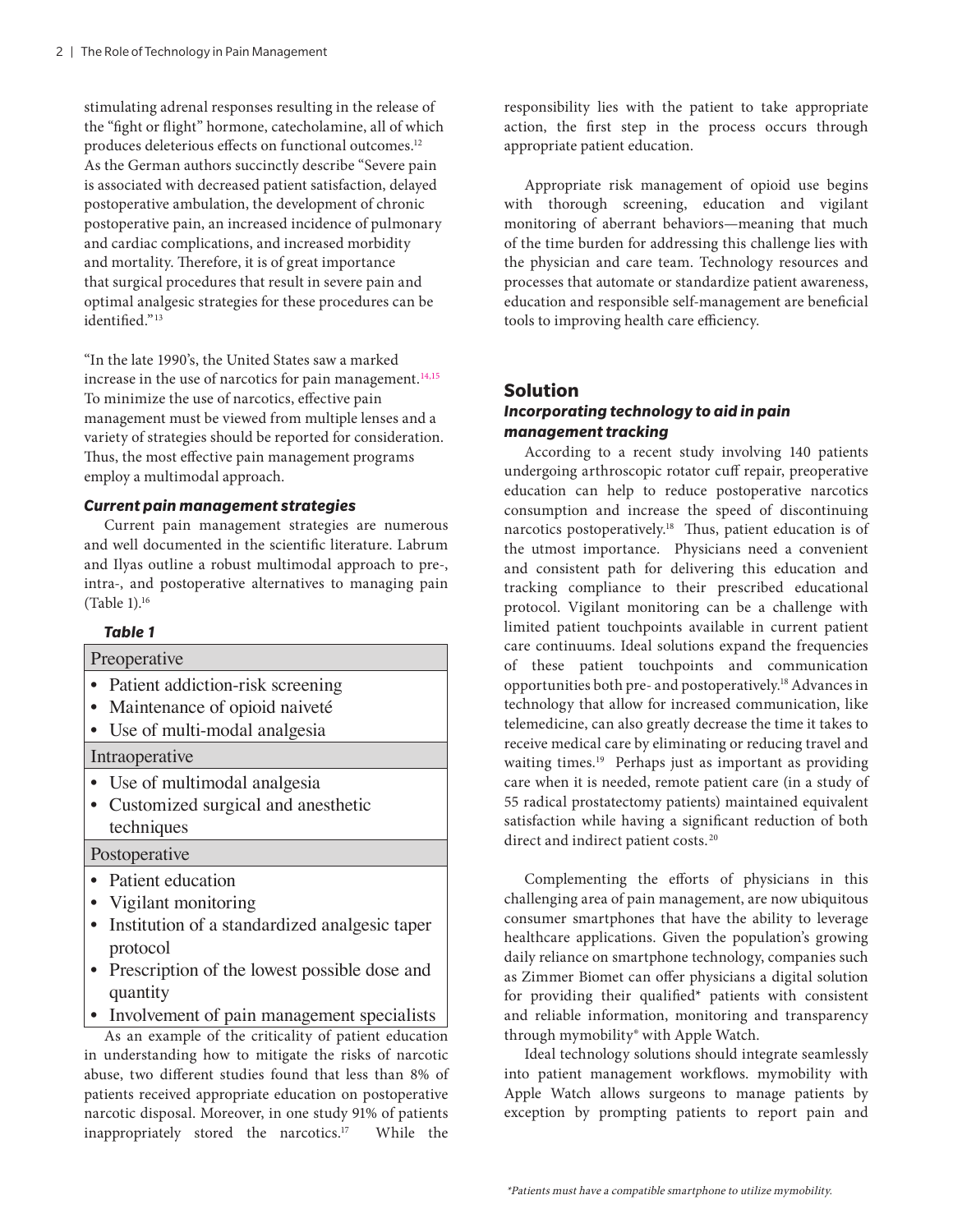stimulating adrenal responses resulting in the release of the "fight or flight" hormone, catecholamine, all of which produces deleterious effects on functional outcomes.<sup>12</sup> As the German authors succinctly describe "Severe pain is associated with decreased patient satisfaction, delayed postoperative ambulation, the development of chronic postoperative pain, an increased incidence of pulmonary and cardiac complications, and increased morbidity and mortality. Therefore, it is of great importance that surgical procedures that result in severe pain and optimal analgesic strategies for these procedures can be identified."<sup>13</sup>

"In the late 1990's, the United States saw a marked increase in the use of narcotics for pain management. $14,15$ To minimize the use of narcotics, effective pain management must be viewed from multiple lenses and a variety of strategies should be reported for consideration. Thus, the most effective pain management programs employ a multimodal approach.

## *Current pain management strategies*

Current pain management strategies are numerous and well documented in the scientific literature. Labrum and Ilyas outline a robust multimodal approach to pre-, intra-, and postoperative alternatives to managing pain (Table 1).16

### *Table 1*

| Preoperative                                          |
|-------------------------------------------------------|
| • Patient addiction-risk screening                    |
| • Maintenance of opioid naiveté                       |
| • Use of multi-modal analgesia                        |
| Intraoperative                                        |
| • Use of multimodal analgesia                         |
| Customized surgical and anesthetic                    |
| techniques                                            |
| Postoperative                                         |
| • Patient education                                   |
| • Vigilant monitoring                                 |
| • Institution of a standardized analgesic taper       |
| protocol                                              |
| Prescription of the lowest possible dose and          |
| quantity                                              |
| • Involvement of pain management specialists          |
| As an example of the criticality of patient education |

As an example of the criticality of patient education in understanding how to mitigate the risks of narcotic abuse, two different studies found that less than 8% of patients received appropriate education on postoperative narcotic disposal. Moreover, in one study 91% of patients inappropriately stored the narcotics.17 While the

responsibility lies with the patient to take appropriate action, the first step in the process occurs through appropriate patient education.

Appropriate risk management of opioid use begins with thorough screening, education and vigilant monitoring of aberrant behaviors—meaning that much of the time burden for addressing this challenge lies with the physician and care team. Technology resources and processes that automate or standardize patient awareness, education and responsible self-management are beneficial tools to improving health care efficiency.

## **Solution**

## *Incorporating technology to aid in pain management tracking*

According to a recent study involving 140 patients undergoing arthroscopic rotator cuff repair, preoperative education can help to reduce postoperative narcotics consumption and increase the speed of discontinuing narcotics postoperatively.<sup>18</sup> Thus, patient education is of the utmost importance. Physicians need a convenient and consistent path for delivering this education and tracking compliance to their prescribed educational protocol. Vigilant monitoring can be a challenge with limited patient touchpoints available in current patient care continuums. Ideal solutions expand the frequencies of these patient touchpoints and communication opportunities both pre- and postoperatively.18 Advances in technology that allow for increased communication, like telemedicine, can also greatly decrease the time it takes to receive medical care by eliminating or reducing travel and waiting times.<sup>19</sup> Perhaps just as important as providing care when it is needed, remote patient care (in a study of 55 radical prostatectomy patients) maintained equivalent satisfaction while having a significant reduction of both direct and indirect patient costs.<sup>20</sup>

Complementing the efforts of physicians in this challenging area of pain management, are now ubiquitous consumer smartphones that have the ability to leverage healthcare applications. Given the population's growing daily reliance on smartphone technology, companies such as Zimmer Biomet can offer physicians a digital solution for providing their qualified\* patients with consistent and reliable information, monitoring and transparency through mymobility® with Apple Watch.

Ideal technology solutions should integrate seamlessly into patient management workflows. mymobility with Apple Watch allows surgeons to manage patients by exception by prompting patients to report pain and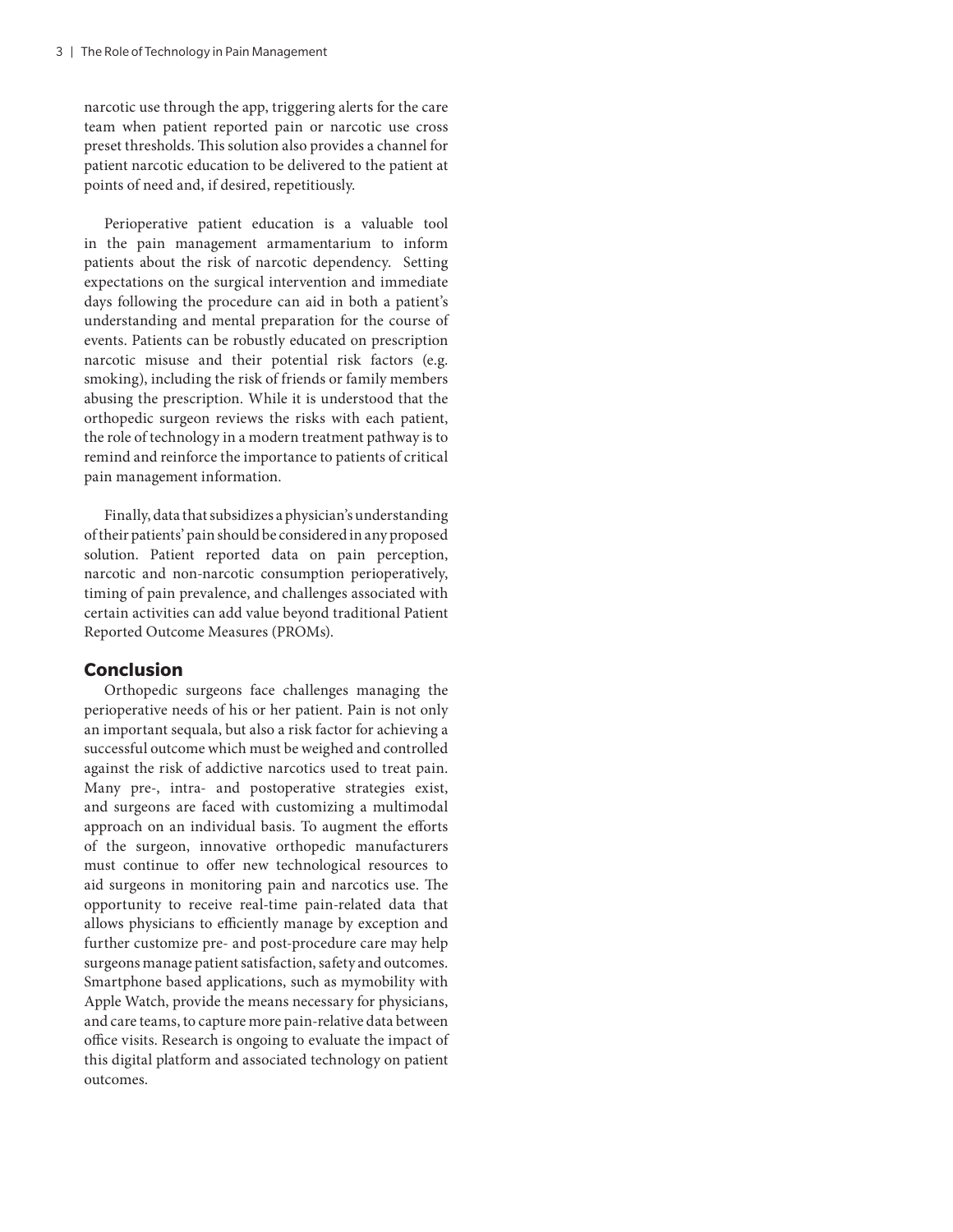narcotic use through the app, triggering alerts for the care team when patient reported pain or narcotic use cross preset thresholds. This solution also provides a channel for patient narcotic education to be delivered to the patient at points of need and, if desired, repetitiously.

Perioperative patient education is a valuable tool in the pain management armamentarium to inform patients about the risk of narcotic dependency. Setting expectations on the surgical intervention and immediate days following the procedure can aid in both a patient's understanding and mental preparation for the course of events. Patients can be robustly educated on prescription narcotic misuse and their potential risk factors (e.g. smoking), including the risk of friends or family members abusing the prescription. While it is understood that the orthopedic surgeon reviews the risks with each patient, the role of technology in a modern treatment pathway is to remind and reinforce the importance to patients of critical pain management information.

Finally, data that subsidizes a physician's understanding of their patients' pain should be considered in any proposed solution. Patient reported data on pain perception, narcotic and non-narcotic consumption perioperatively, timing of pain prevalence, and challenges associated with certain activities can add value beyond traditional Patient Reported Outcome Measures (PROMs).

### **Conclusion**

Orthopedic surgeons face challenges managing the perioperative needs of his or her patient. Pain is not only an important sequala, but also a risk factor for achieving a successful outcome which must be weighed and controlled against the risk of addictive narcotics used to treat pain. Many pre-, intra- and postoperative strategies exist, and surgeons are faced with customizing a multimodal approach on an individual basis. To augment the efforts of the surgeon, innovative orthopedic manufacturers must continue to offer new technological resources to aid surgeons in monitoring pain and narcotics use. The opportunity to receive real-time pain-related data that allows physicians to efficiently manage by exception and further customize pre- and post-procedure care may help surgeons manage patient satisfaction, safety and outcomes. Smartphone based applications, such as mymobility with Apple Watch, provide the means necessary for physicians, and care teams, to capture more pain-relative data between office visits. Research is ongoing to evaluate the impact of this digital platform and associated technology on patient outcomes.